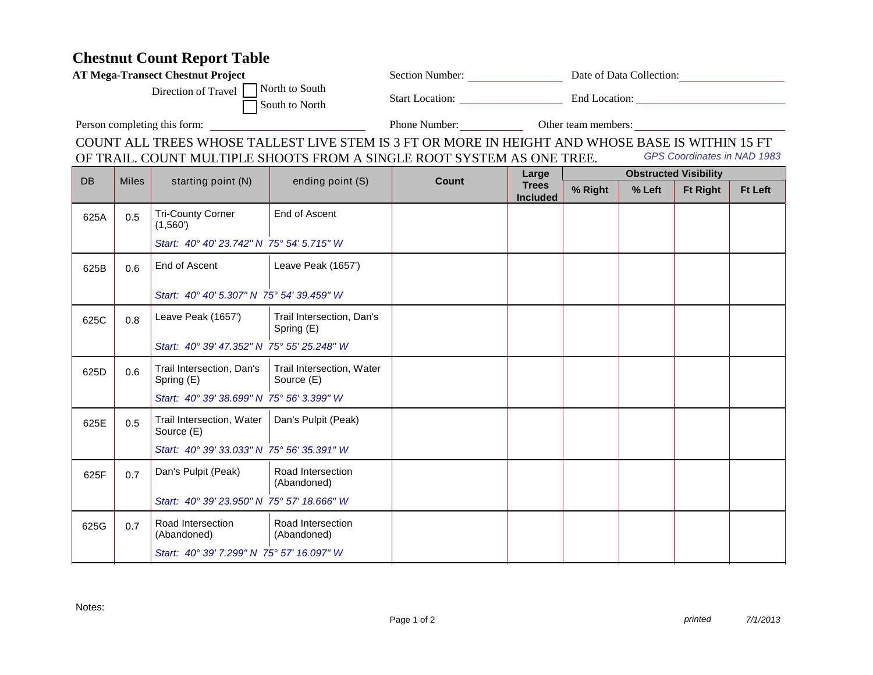## **Chestnut Count Report Table**

| <b>Chestnut Count Report Table</b>                                                                           |              |                                                                     |                                         |                                                                                                  |                                          |                                             |        |                 |                |  |  |
|--------------------------------------------------------------------------------------------------------------|--------------|---------------------------------------------------------------------|-----------------------------------------|--------------------------------------------------------------------------------------------------|------------------------------------------|---------------------------------------------|--------|-----------------|----------------|--|--|
| <b>AT Mega-Transect Chestnut Project</b>                                                                     |              |                                                                     |                                         |                                                                                                  |                                          | Section Number: Date of Data Collection:    |        |                 |                |  |  |
| Direction of Travel North to South<br>South to North                                                         |              |                                                                     |                                         |                                                                                                  |                                          | Start Location: End Location: End Location: |        |                 |                |  |  |
|                                                                                                              |              |                                                                     |                                         |                                                                                                  |                                          | Phone Number: <u>Other team members:</u>    |        |                 |                |  |  |
|                                                                                                              |              |                                                                     |                                         | COUNT ALL TREES WHOSE TALLEST LIVE STEM IS 3 FT OR MORE IN HEIGHT AND WHOSE BASE IS WITHIN 15 FT |                                          |                                             |        |                 |                |  |  |
| <b>GPS Coordinates in NAD 1983</b><br>OF TRAIL. COUNT MULTIPLE SHOOTS FROM A SINGLE ROOT SYSTEM AS ONE TREE. |              |                                                                     |                                         |                                                                                                  |                                          |                                             |        |                 |                |  |  |
| <b>DB</b>                                                                                                    | <b>Miles</b> | starting point (N)                                                  | ending point (S)                        | Count                                                                                            | Large<br><b>Trees</b><br><b>Included</b> | <b>Obstructed Visibility</b>                |        |                 |                |  |  |
|                                                                                                              |              |                                                                     |                                         |                                                                                                  |                                          | % Right                                     | % Left | <b>Ft Right</b> | <b>Ft Left</b> |  |  |
| 625A                                                                                                         | 0.5          | <b>Tri-County Corner</b><br>(1,560)                                 | End of Ascent                           |                                                                                                  |                                          |                                             |        |                 |                |  |  |
|                                                                                                              |              | Start: 40° 40' 23.742" N 75° 54' 5.715" W                           |                                         |                                                                                                  |                                          |                                             |        |                 |                |  |  |
| 625B                                                                                                         | 0.6          | End of Ascent                                                       | Leave Peak (1657')                      |                                                                                                  |                                          |                                             |        |                 |                |  |  |
|                                                                                                              |              | Start: 40° 40' 5.307" N 75° 54' 39.459" W                           |                                         |                                                                                                  |                                          |                                             |        |                 |                |  |  |
| 625C                                                                                                         | 0.8          | Leave Peak (1657')                                                  | Trail Intersection, Dan's<br>Spring (E) |                                                                                                  |                                          |                                             |        |                 |                |  |  |
|                                                                                                              |              | Start: 40° 39' 47.352" N 75° 55' 25.248" W                          |                                         |                                                                                                  |                                          |                                             |        |                 |                |  |  |
| 625D                                                                                                         | 0.6          | Trail Intersection, Dan's   Trail Intersection, Water<br>Spring (E) | Source (E)                              |                                                                                                  |                                          |                                             |        |                 |                |  |  |
|                                                                                                              |              | Start: 40° 39' 38.699" N 75° 56' 3.399" W                           |                                         |                                                                                                  |                                          |                                             |        |                 |                |  |  |
| 625E                                                                                                         | 0.5          | Trail Intersection, Water   Dan's Pulpit (Peak)<br>Source (E)       |                                         |                                                                                                  |                                          |                                             |        |                 |                |  |  |
|                                                                                                              |              | Start: 40° 39' 33.033" N 75° 56' 35.391" W                          |                                         |                                                                                                  |                                          |                                             |        |                 |                |  |  |
| 625F                                                                                                         | 0.7          | Dan's Pulpit (Peak)                                                 | Road Intersection<br>(Abandoned)        |                                                                                                  |                                          |                                             |        |                 |                |  |  |
|                                                                                                              |              | Start: 40° 39' 23.950" N 75° 57' 18.666" W                          |                                         |                                                                                                  |                                          |                                             |        |                 |                |  |  |

Notes:

625G 0.7 Road Intersection

(Abandoned)

Road Intersection (Abandoned)

*Start: 40° 39' 7.299" N 75° 57' 16.097" W*